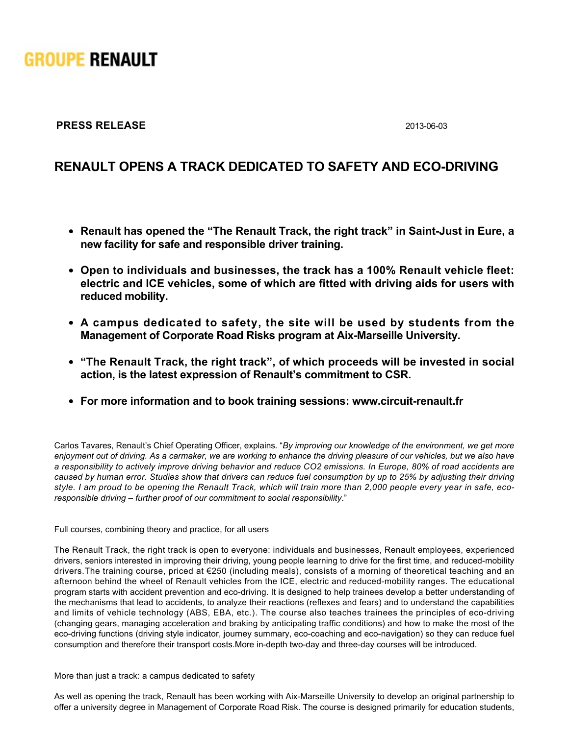

## **PRESS RELEASE** 2013-06-03

## **RENAULT OPENS A TRACK DEDICATED TO SAFETY AND ECO-DRIVING**

- Renault has opened the "The Renault Track, the right track" in Saint-Just in Eure, a **new facility for safe and responsible driver training.**
- **Open to individuals and businesses, the track has a 100% Renault vehicle fleet: electric and ICE vehicles, some of which are fitted with driving aids for users with reduced mobility.**
- **A campus dedicated to safety, the site will be used by students from the Management of Corporate Road Risks program at Aix-Marseille University.**
- **"The Renault Track, the right track", of which proceeds will be invested in social action, is the latest expression of Renault's commitment to CSR.**
- **For more information and to book training sessions: www.circuit-renault.fr**

Carlos Tavares, Renault's Chief Operating Officer, explains. "*By improving our knowledge of the environment, we get more enjoyment out of driving. As a carmaker, we are working to enhance the driving pleasure of our vehicles, but we also have a responsibility to actively improve driving behavior and reduce CO2 emissions. In Europe, 80% of road accidents are caused by human error. Studies show that drivers can reduce fuel consumption by up to 25% by adjusting their driving style. I am proud to be opening the Renault Track, which will train more than 2,000 people every year in safe, ecoresponsible driving – further proof of our commitment to social responsibility*."

Full courses, combining theory and practice, for all users

The Renault Track, the right track is open to everyone: individuals and businesses, Renault employees, experienced drivers, seniors interested in improving their driving, young people learning to drive for the first time, and reduced-mobility drivers.The training course, priced at €250 (including meals), consists of a morning of theoretical teaching and an afternoon behind the wheel of Renault vehicles from the ICE, electric and reduced-mobility ranges. The educational program starts with accident prevention and eco-driving. It is designed to help trainees develop a better understanding of the mechanisms that lead to accidents, to analyze their reactions (reflexes and fears) and to understand the capabilities and limits of vehicle technology (ABS, EBA, etc.). The course also teaches trainees the principles of eco-driving (changing gears, managing acceleration and braking by anticipating traffic conditions) and how to make the most of the eco-driving functions (driving style indicator, journey summary, eco-coaching and eco-navigation) so they can reduce fuel consumption and therefore their transport costs. More in-depth two-day and three-day courses will be introduced.

More than just a track: a campus dedicated to safety

As well as opening the track, Renault has been working with Aix-Marseille University to develop an original partnership to offer a university degree in Management of Corporate Road Risk. The course is designed primarily for education students,